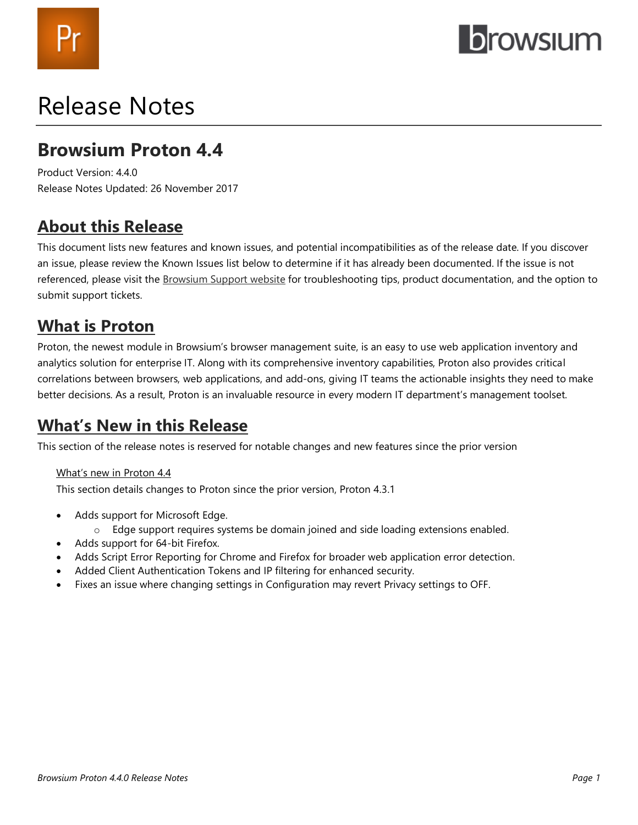# *rowsium*

## Release Notes

### **Browsium Proton 4.4**

Product Version: 4.4.0 Release Notes Updated: 26 November 2017

### **About this Release**

This document lists new features and known issues, and potential incompatibilities as of the release date. If you discover an issue, please review the Known Issues list below to determine if it has already been documented. If the issue is not referenced, please visit the [Browsium Support website](https://www.browsium.com/support/) for troubleshooting tips, product documentation, and the option to submit support tickets.

### **What is Proton**

Proton, the newest module in Browsium's browser management suite, is an easy to use web application inventory and analytics solution for enterprise IT. Along with its comprehensive inventory capabilities, Proton also provides critical correlations between browsers, web applications, and add-ons, giving IT teams the actionable insights they need to make better decisions. As a result, Proton is an invaluable resource in every modern IT department's management toolset.

### **What's New in this Release**

This section of the release notes is reserved for notable changes and new features since the prior version

### What's new in Proton 4.4

This section details changes to Proton since the prior version, Proton 4.3.1

- Adds support for Microsoft Edge.
	- o Edge support requires systems be domain joined and side loading extensions enabled.
- Adds support for 64-bit Firefox.
- Adds Script Error Reporting for Chrome and Firefox for broader web application error detection.
- Added Client Authentication Tokens and IP filtering for enhanced security.
- Fixes an issue where changing settings in Configuration may revert Privacy settings to OFF.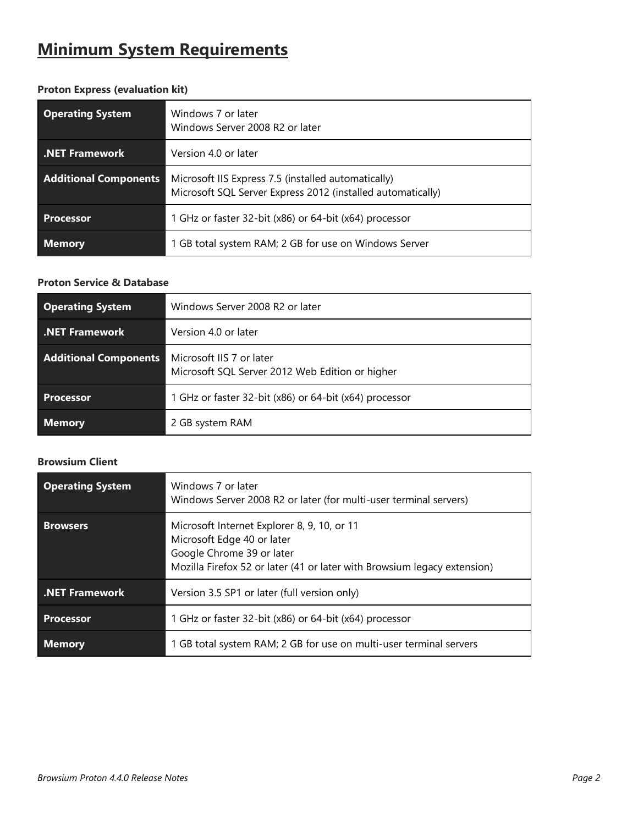### **Minimum System Requirements**

| <b>Operating System</b>      | Windows 7 or later<br>Windows Server 2008 R2 or later                                                              |
|------------------------------|--------------------------------------------------------------------------------------------------------------------|
| <b>.NET Framework</b>        | Version 4.0 or later                                                                                               |
| <b>Additional Components</b> | Microsoft IIS Express 7.5 (installed automatically)<br>Microsoft SQL Server Express 2012 (installed automatically) |
| <b>Processor</b>             | 1 GHz or faster 32-bit (x86) or 64-bit (x64) processor                                                             |
| <b>Memory</b>                | 1 GB total system RAM; 2 GB for use on Windows Server                                                              |

### **Proton Express (evaluation kit)**

### **Proton Service & Database**

| <b>Operating System</b>      | Windows Server 2008 R2 or later                                             |
|------------------------------|-----------------------------------------------------------------------------|
| <b>.NET Framework</b>        | Version 4.0 or later                                                        |
| <b>Additional Components</b> | Microsoft IIS 7 or later<br>Microsoft SQL Server 2012 Web Edition or higher |
| <b>Processor</b>             | 1 GHz or faster 32-bit (x86) or 64-bit (x64) processor                      |
| <b>Memory</b>                | 2 GB system RAM                                                             |

### **Browsium Client**

| <b>Operating System</b> | Windows 7 or later<br>Windows Server 2008 R2 or later (for multi-user terminal servers)                                                                                            |
|-------------------------|------------------------------------------------------------------------------------------------------------------------------------------------------------------------------------|
| <b>Browsers</b>         | Microsoft Internet Explorer 8, 9, 10, or 11<br>Microsoft Edge 40 or later<br>Google Chrome 39 or later<br>Mozilla Firefox 52 or later (41 or later with Browsium legacy extension) |
| <b>NET Framework</b>    | Version 3.5 SP1 or later (full version only)                                                                                                                                       |
| <b>Processor</b>        | 1 GHz or faster 32-bit (x86) or 64-bit (x64) processor                                                                                                                             |
| <b>Memory</b>           | 1 GB total system RAM; 2 GB for use on multi-user terminal servers                                                                                                                 |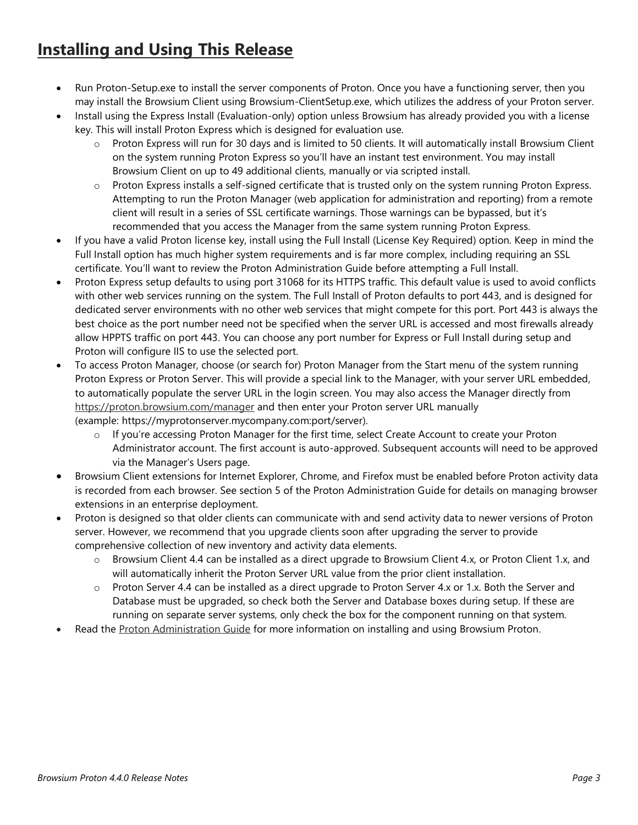### **Installing and Using This Release**

- Run Proton-Setup.exe to install the server components of Proton. Once you have a functioning server, then you may install the Browsium Client using Browsium-ClientSetup.exe, which utilizes the address of your Proton server.
- Install using the Express Install (Evaluation-only) option unless Browsium has already provided you with a license key. This will install Proton Express which is designed for evaluation use.
	- o Proton Express will run for 30 days and is limited to 50 clients. It will automatically install Browsium Client on the system running Proton Express so you'll have an instant test environment. You may install Browsium Client on up to 49 additional clients, manually or via scripted install.
	- o Proton Express installs a self-signed certificate that is trusted only on the system running Proton Express. Attempting to run the Proton Manager (web application for administration and reporting) from a remote client will result in a series of SSL certificate warnings. Those warnings can be bypassed, but it's recommended that you access the Manager from the same system running Proton Express.
- If you have a valid Proton license key, install using the Full Install (License Key Required) option. Keep in mind the Full Install option has much higher system requirements and is far more complex, including requiring an SSL certificate. You'll want to review the Proton Administration Guide before attempting a Full Install.
- Proton Express setup defaults to using port 31068 for its HTTPS traffic. This default value is used to avoid conflicts with other web services running on the system. The Full Install of Proton defaults to port 443, and is designed for dedicated server environments with no other web services that might compete for this port. Port 443 is always the best choice as the port number need not be specified when the server URL is accessed and most firewalls already allow HPPTS traffic on port 443. You can choose any port number for Express or Full Install during setup and Proton will configure IIS to use the selected port.
- To access Proton Manager, choose (or search for) Proton Manager from the Start menu of the system running Proton Express or Proton Server. This will provide a special link to the Manager, with your server URL embedded, to automatically populate the server URL in the login screen. You may also access the Manager directly from <https://proton.browsium.com/manager> and then enter your Proton server URL manually (example: https://myprotonserver.mycompany.com:port/server).
	- o If you're accessing Proton Manager for the first time, select Create Account to create your Proton Administrator account. The first account is auto-approved. Subsequent accounts will need to be approved via the Manager's Users page.
- Browsium Client extensions for Internet Explorer, Chrome, and Firefox must be enabled before Proton activity data is recorded from each browser. See section 5 of the Proton Administration Guide for details on managing browser extensions in an enterprise deployment.
- Proton is designed so that older clients can communicate with and send activity data to newer versions of Proton server. However, we recommend that you upgrade clients soon after upgrading the server to provide comprehensive collection of new inventory and activity data elements.
	- o Browsium Client 4.4 can be installed as a direct upgrade to Browsium Client 4.x, or Proton Client 1.x, and will automatically inherit the Proton Server URL value from the prior client installation.
	- $\circ$  Proton Server 4.4 can be installed as a direct upgrade to Proton Server 4.x or 1.x. Both the Server and Database must be upgraded, so check both the Server and Database boxes during setup. If these are running on separate server systems, only check the box for the component running on that system.
- Read the [Proton Administration Guide](http://docs.browsium.com/guide/?v=4.4.0&p=Proton) for more information on installing and using Browsium Proton.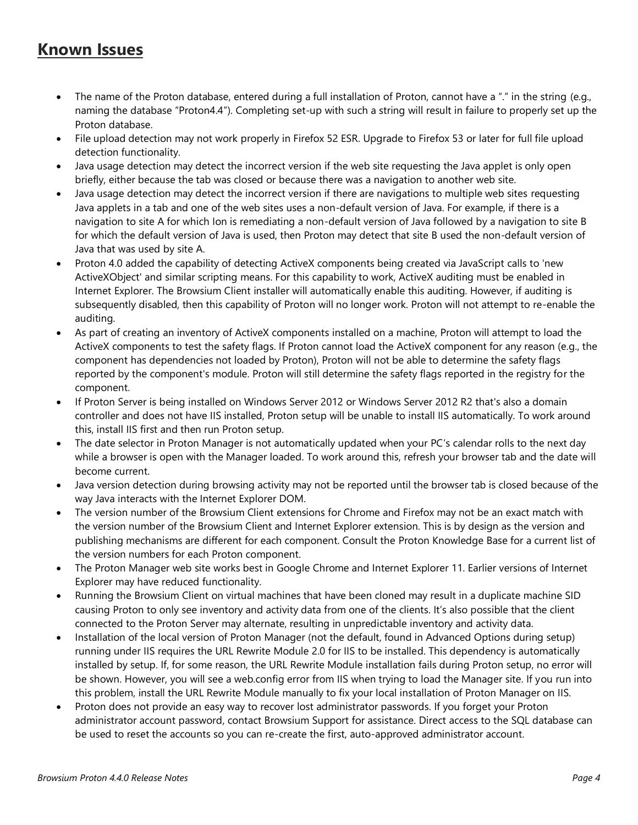### **Known Issues**

- The name of the Proton database, entered during a full installation of Proton, cannot have a "." in the string (e.g., naming the database "Proton4.4"). Completing set-up with such a string will result in failure to properly set up the Proton database.
- File upload detection may not work properly in Firefox 52 ESR. Upgrade to Firefox 53 or later for full file upload detection functionality.
- Java usage detection may detect the incorrect version if the web site requesting the Java applet is only open briefly, either because the tab was closed or because there was a navigation to another web site.
- Java usage detection may detect the incorrect version if there are navigations to multiple web sites requesting Java applets in a tab and one of the web sites uses a non-default version of Java. For example, if there is a navigation to site A for which Ion is remediating a non-default version of Java followed by a navigation to site B for which the default version of Java is used, then Proton may detect that site B used the non-default version of Java that was used by site A.
- Proton 4.0 added the capability of detecting ActiveX components being created via JavaScript calls to 'new ActiveXObject' and similar scripting means. For this capability to work, ActiveX auditing must be enabled in Internet Explorer. The Browsium Client installer will automatically enable this auditing. However, if auditing is subsequently disabled, then this capability of Proton will no longer work. Proton will not attempt to re-enable the auditing.
- As part of creating an inventory of ActiveX components installed on a machine, Proton will attempt to load the ActiveX components to test the safety flags. If Proton cannot load the ActiveX component for any reason (e.g., the component has dependencies not loaded by Proton), Proton will not be able to determine the safety flags reported by the component's module. Proton will still determine the safety flags reported in the registry for the component.
- If Proton Server is being installed on Windows Server 2012 or Windows Server 2012 R2 that's also a domain controller and does not have IIS installed, Proton setup will be unable to install IIS automatically. To work around this, install IIS first and then run Proton setup.
- The date selector in Proton Manager is not automatically updated when your PC's calendar rolls to the next day while a browser is open with the Manager loaded. To work around this, refresh your browser tab and the date will become current.
- Java version detection during browsing activity may not be reported until the browser tab is closed because of the way Java interacts with the Internet Explorer DOM.
- The version number of the Browsium Client extensions for Chrome and Firefox may not be an exact match with the version number of the Browsium Client and Internet Explorer extension. This is by design as the version and publishing mechanisms are different for each component. Consult the [Proton Knowledge Base](https://www.browsium.com/proton/kb/) for a current list of the version numbers for each Proton component.
- The Proton Manager web site works best in Google Chrome and Internet Explorer 11. Earlier versions of Internet Explorer may have reduced functionality.
- Running the Browsium Client on virtual machines that have been cloned may result in a duplicate machine SID causing Proton to only see inventory and activity data from one of the clients. It's also possible that the client connected to the Proton Server may alternate, resulting in unpredictable inventory and activity data.
- Installation of the local version of Proton Manager (not the default, found in Advanced Options during setup) running under IIS requires the URL Rewrite Module 2.0 for IIS to be installed. This dependency is automatically installed by setup. If, for some reason, the URL Rewrite Module installation fails during Proton setup, no error will be shown. However, you will see a web.config error from IIS when trying to load the Manager site. If you run into this problem, install the URL Rewrite Module manually to fix your local installation of Proton Manager on IIS.
- Proton does not provide an easy way to recover lost administrator passwords. If you forget your Proton administrator account password, contact Browsium Support for assistance. Direct access to the SQL database can be used to reset the accounts so you can re-create the first, auto-approved administrator account.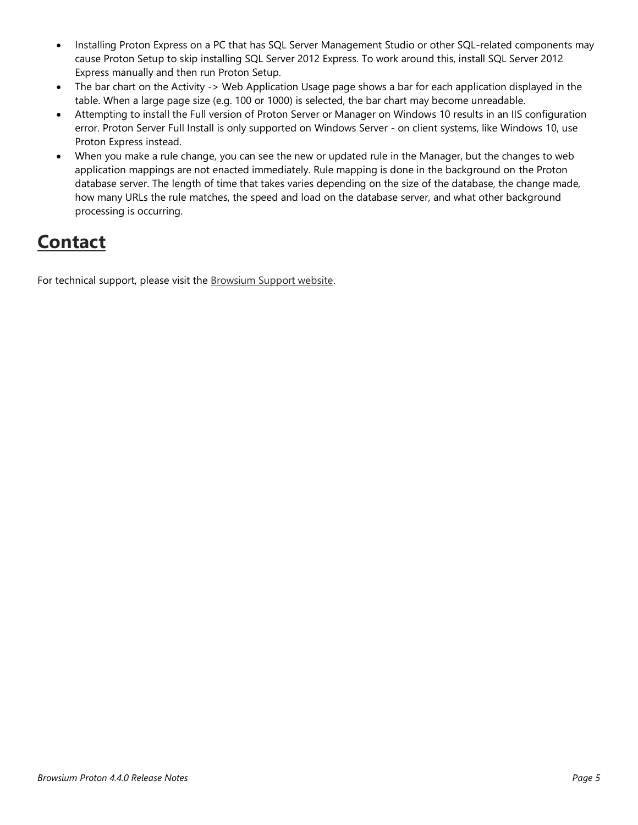- Installing Proton Express on a PC that has SQL Server Management Studio or other SQL-related components may cause Proton Setup to skip installing SQL Server 2012 Express. To work around this, install SQL Server 2012 Express manually and then run Proton Setup.
- The bar chart on the Activity -> Web Application Usage page shows a bar for each application displayed in the table. When a large page size (e.g. 100 or 1000) is selected, the bar chart may become unreadable.
- Attempting to install the Full version of Proton Server or Manager on Windows 10 results in an IIS configuration error. Proton Server Full Install is only supported on Windows Server - on client systems, like Windows 10, use Proton Express instead.
- When you make a rule change, you can see the new or updated rule in the Manager, but the changes to web application mappings are not enacted immediately. Rule mapping is done in the background on the Proton database server. The length of time that takes varies depending on the size of the database, the change made, how many URLs the rule matches, the speed and load on the database server, and what other background processing is occurring.

### **Contact**

For technical support, please visit the **Browsium Support** website.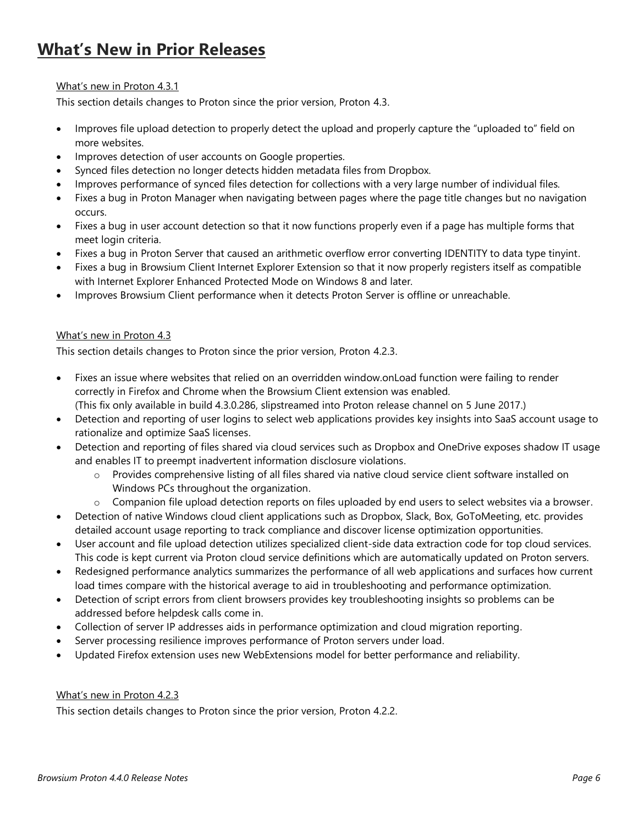### **What's New in Prior Releases**

### What's new in Proton 4.3.1

This section details changes to Proton since the prior version, Proton 4.3.

- Improves file upload detection to properly detect the upload and properly capture the "uploaded to" field on more websites.
- Improves detection of user accounts on Google properties.
- Synced files detection no longer detects hidden metadata files from Dropbox.
- Improves performance of synced files detection for collections with a very large number of individual files.
- Fixes a bug in Proton Manager when navigating between pages where the page title changes but no navigation occurs.
- Fixes a bug in user account detection so that it now functions properly even if a page has multiple forms that meet login criteria.
- Fixes a bug in Proton Server that caused an arithmetic overflow error converting IDENTITY to data type tinyint.
- Fixes a bug in Browsium Client Internet Explorer Extension so that it now properly registers itself as compatible with Internet Explorer Enhanced Protected Mode on Windows 8 and later.
- Improves Browsium Client performance when it detects Proton Server is offline or unreachable.

#### What's new in Proton 4.3

This section details changes to Proton since the prior version, Proton 4.2.3.

- Fixes an issue where websites that relied on an overridden window.onLoad function were failing to render correctly in Firefox and Chrome when the Browsium Client extension was enabled. (This fix only available in build 4.3.0.286, slipstreamed into Proton release channel on 5 June 2017.)
- Detection and reporting of user logins to select web applications provides key insights into SaaS account usage to rationalize and optimize SaaS licenses.
- Detection and reporting of files shared via cloud services such as Dropbox and OneDrive exposes shadow IT usage and enables IT to preempt inadvertent information disclosure violations.
	- o Provides comprehensive listing of all files shared via native cloud service client software installed on Windows PCs throughout the organization.
	- $\circ$  Companion file upload detection reports on files uploaded by end users to select websites via a browser.
- Detection of native Windows cloud client applications such as Dropbox, Slack, Box, GoToMeeting, etc. provides detailed account usage reporting to track compliance and discover license optimization opportunities.
- User account and file upload detection utilizes specialized client-side data extraction code for top cloud services. This code is kept current via Proton cloud service definitions which are automatically updated on Proton servers.
- Redesigned performance analytics summarizes the performance of all web applications and surfaces how current load times compare with the historical average to aid in troubleshooting and performance optimization.
- Detection of script errors from client browsers provides key troubleshooting insights so problems can be addressed before helpdesk calls come in.
- Collection of server IP addresses aids in performance optimization and cloud migration reporting.
- Server processing resilience improves performance of Proton servers under load.
- Updated Firefox extension uses new WebExtensions model for better performance and reliability.

#### What's new in Proton 4.2.3

This section details changes to Proton since the prior version, Proton 4.2.2.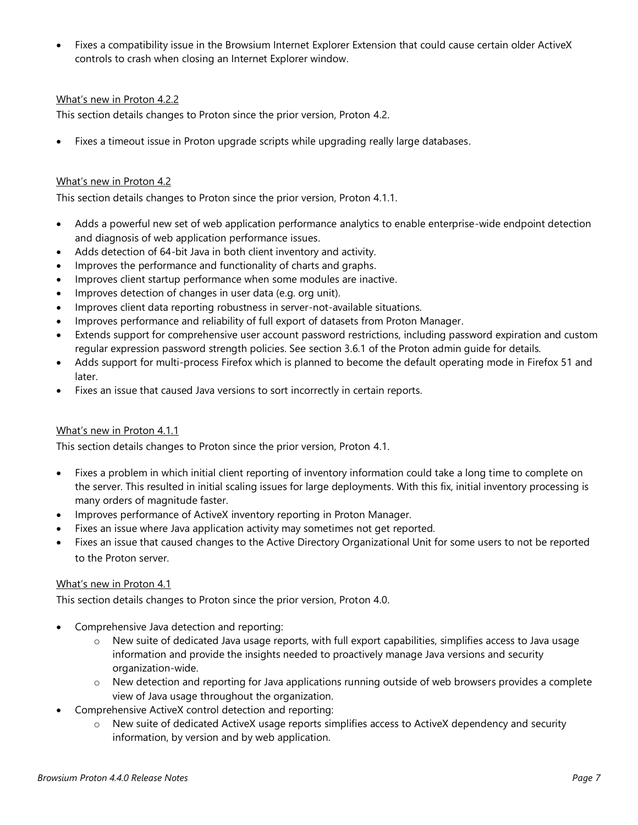• Fixes a compatibility issue in the Browsium Internet Explorer Extension that could cause certain older ActiveX controls to crash when closing an Internet Explorer window.

### What's new in Proton 4.2.2

This section details changes to Proton since the prior version, Proton 4.2.

• Fixes a timeout issue in Proton upgrade scripts while upgrading really large databases.

### What's new in Proton 4.2

This section details changes to Proton since the prior version, Proton 4.1.1.

- Adds a powerful new set of web application performance analytics to enable enterprise-wide endpoint detection and diagnosis of web application performance issues.
- Adds detection of 64-bit Java in both client inventory and activity.
- Improves the performance and functionality of charts and graphs.
- Improves client startup performance when some modules are inactive.
- Improves detection of changes in user data (e.g. org unit).
- Improves client data reporting robustness in server-not-available situations.
- Improves performance and reliability of full export of datasets from Proton Manager.
- Extends support for comprehensive user account password restrictions, including password expiration and custom regular expression password strength policies. See section 3.6.1 of the Proton admin guide for details.
- Adds support for multi-process Firefox which is planned to become the default operating mode in Firefox 51 and later.
- Fixes an issue that caused Java versions to sort incorrectly in certain reports.

#### What's new in Proton 4.1.1

This section details changes to Proton since the prior version, Proton 4.1.

- Fixes a problem in which initial client reporting of inventory information could take a long time to complete on the server. This resulted in initial scaling issues for large deployments. With this fix, initial inventory processing is many orders of magnitude faster.
- Improves performance of ActiveX inventory reporting in Proton Manager.
- Fixes an issue where Java application activity may sometimes not get reported.
- Fixes an issue that caused changes to the Active Directory Organizational Unit for some users to not be reported to the Proton server.

#### What's new in Proton 4.1

This section details changes to Proton since the prior version, Proton 4.0.

- Comprehensive Java detection and reporting:
	- o New suite of dedicated Java usage reports, with full export capabilities, simplifies access to Java usage information and provide the insights needed to proactively manage Java versions and security organization-wide.
	- o New detection and reporting for Java applications running outside of web browsers provides a complete view of Java usage throughout the organization.
- Comprehensive ActiveX control detection and reporting:
	- o New suite of dedicated ActiveX usage reports simplifies access to ActiveX dependency and security information, by version and by web application.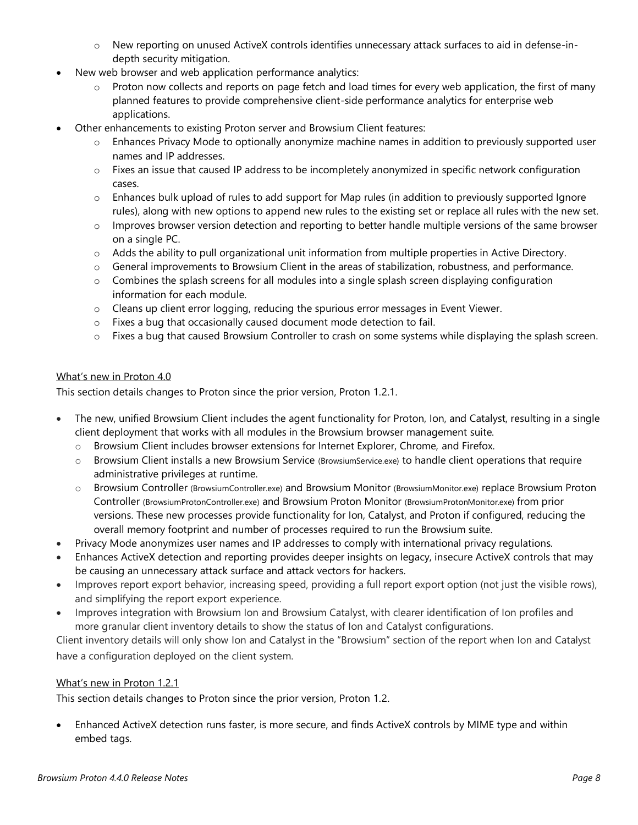- o New reporting on unused ActiveX controls identifies unnecessary attack surfaces to aid in defense-indepth security mitigation.
- New web browser and web application performance analytics:
	- $\circ$  Proton now collects and reports on page fetch and load times for every web application, the first of many planned features to provide comprehensive client-side performance analytics for enterprise web applications.
- Other enhancements to existing Proton server and Browsium Client features:
	- Enhances Privacy Mode to optionally anonymize machine names in addition to previously supported user names and IP addresses.
	- $\circ$  Fixes an issue that caused IP address to be incompletely anonymized in specific network configuration cases.
	- $\circ$  Enhances bulk upload of rules to add support for Map rules (in addition to previously supported Ignore rules), along with new options to append new rules to the existing set or replace all rules with the new set.
	- $\circ$  Improves browser version detection and reporting to better handle multiple versions of the same browser on a single PC.
	- o Adds the ability to pull organizational unit information from multiple properties in Active Directory.
	- $\circ$  General improvements to Browsium Client in the areas of stabilization, robustness, and performance.
	- o Combines the splash screens for all modules into a single splash screen displaying configuration information for each module.
	- o Cleans up client error logging, reducing the spurious error messages in Event Viewer.
	- o Fixes a bug that occasionally caused document mode detection to fail.
	- o Fixes a bug that caused Browsium Controller to crash on some systems while displaying the splash screen.

#### What's new in Proton 4.0

This section details changes to Proton since the prior version, Proton 1.2.1.

- The new, unified Browsium Client includes the agent functionality for Proton, Ion, and Catalyst, resulting in a single client deployment that works with all modules in the Browsium browser management suite.
	- o Browsium Client includes browser extensions for Internet Explorer, Chrome, and Firefox.
	- $\circ$  Browsium Client installs a new Browsium Service (BrowsiumService.exe) to handle client operations that require administrative privileges at runtime.
	- o Browsium Controller (BrowsiumController.exe) and Browsium Monitor (BrowsiumMonitor.exe) replace Browsium Proton Controller (BrowsiumProtonController.exe) and Browsium Proton Monitor (BrowsiumProtonMonitor.exe) from prior versions. These new processes provide functionality for Ion, Catalyst, and Proton if configured, reducing the overall memory footprint and number of processes required to run the Browsium suite.
- Privacy Mode anonymizes user names and IP addresses to comply with international privacy regulations.
- Enhances ActiveX detection and reporting provides deeper insights on legacy, insecure ActiveX controls that may be causing an unnecessary attack surface and attack vectors for hackers.
- Improves report export behavior, increasing speed, providing a full report export option (not just the visible rows), and simplifying the report export experience.
- Improves integration with Browsium Ion and Browsium Catalyst, with clearer identification of Ion profiles and more granular client inventory details to show the status of Ion and Catalyst configurations.

Client inventory details will only show Ion and Catalyst in the "Browsium" section of the report when Ion and Catalyst have a configuration deployed on the client system.

#### What's new in Proton 1.2.1

This section details changes to Proton since the prior version, Proton 1.2.

• Enhanced ActiveX detection runs faster, is more secure, and finds ActiveX controls by MIME type and within embed tags.